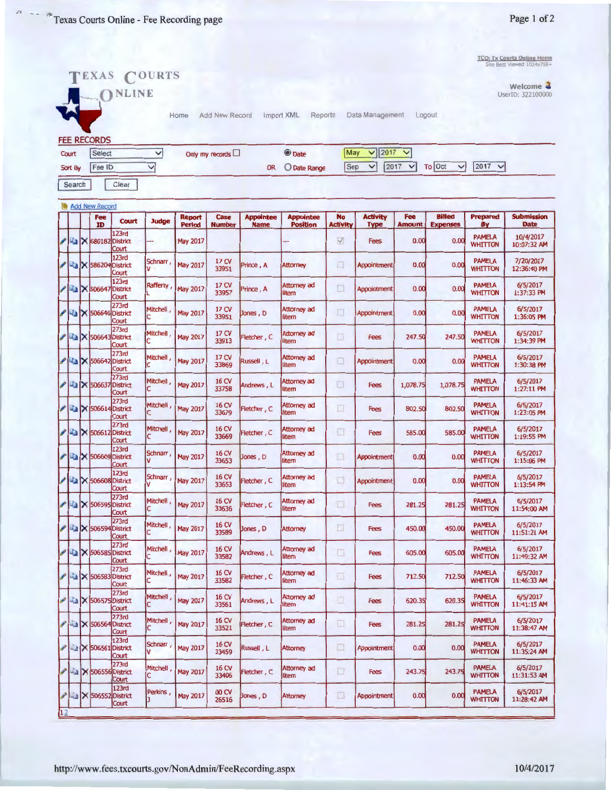**TCO: Tx Courts Online Home**<br>
Site Best Viewed 1024x768+

|         |        |                       | TEXAS COURTS                                            |                 |                 |                           |                  |                             |                 |                      |               |                        |                                 | Site Best Viewed 1024x768+     |
|---------|--------|-----------------------|---------------------------------------------------------|-----------------|-----------------|---------------------------|------------------|-----------------------------|-----------------|----------------------|---------------|------------------------|---------------------------------|--------------------------------|
|         |        |                       | ONLINE                                                  |                 |                 |                           |                  |                             |                 |                      |               |                        |                                 | Welcome 4<br>UserID: 322100000 |
|         |        |                       |                                                         |                 |                 |                           |                  |                             |                 |                      |               |                        |                                 |                                |
|         |        |                       |                                                         |                 | Home            | Add New Record            |                  | Import XML<br>Reports       |                 | Data Management      | Logout        |                        |                                 |                                |
|         |        | <b>FEE RECORDS</b>    |                                                         |                 |                 |                           |                  |                             |                 |                      |               |                        |                                 |                                |
| Court   |        | Select                |                                                         | $\checkmark$    |                 | Only my records $\Box$    |                  | <b>O</b> Date               | May             | 2017<br>$\checkmark$ | $\checkmark$  |                        |                                 |                                |
| Sort By |        | Fee ID                |                                                         | $\checkmark$    |                 |                           | <b>OR</b>        | O Date Range                | Sep             | $\checkmark$<br>2017 | $\checkmark$  | To Oct<br>$\checkmark$ | 2017<br>$\checkmark$            |                                |
|         | Search |                       | Clear                                                   |                 |                 |                           |                  |                             |                 |                      |               |                        |                                 |                                |
|         |        | <b>Add New Record</b> |                                                         |                 |                 |                           |                  |                             |                 |                      |               |                        |                                 |                                |
|         |        | Fee                   | <b>Court</b>                                            | <b>Judge</b>    | <b>Report</b>   | Case                      | <b>Appointee</b> | <b>Appointee</b>            | <b>No</b>       | <b>Activity</b>      | Fee           | <b>Billed</b>          | <b>Prepared</b>                 | <b>Submission</b>              |
|         |        | ID                    | 123rd                                                   |                 | <b>Period</b>   | <b>Number</b>             | <b>Name</b>      | <b>Position</b>             | <b>Activity</b> | <b>Type</b>          | <b>Amount</b> | <b>Expenses</b>        | Βy<br><b>PAMELA</b>             | Date<br>10/4/2017              |
|         |        |                       | <b>X 680182 District</b><br>Court                       |                 | <b>May 2017</b> |                           |                  |                             | V               | <b>Fees</b>          | 0.00          | 0.00                   | WHITTON                         | 10:07:32 AM                    |
|         |        |                       | 123rd<br>$\mathbb{R}$ $\times$ 586204 District<br>Court | Schnarr,        | <b>May 2017</b> | 17 CV<br>33951            | Prince, A        | <b>Attorney</b>             | o               | <b>Appointment</b>   | 0.00          | 0.00                   | <b>PAMELA</b><br>WHITTON        | 7/20/2017<br>12:36:40 PM       |
|         |        |                       | 123rd<br><b>X 506647 District</b><br>Court              | Rafferty,       | <b>May 2017</b> | 17 CV<br>33957            | Prince, A        | <b>Attorney ad</b><br>litem | o               | Appointment          | 0.00          | 0.00                   | <b>PAMELA</b><br><b>WHITTON</b> | 6/5/2017<br>1:37:33 PM         |
|         |        |                       | 273rd<br>$\mathbb{K}$   506646 District<br>Court        | Mitchell,       | <b>May 2017</b> | 17 CV<br>33951            | Jones, D         | Attorney ad<br>litem        | □               | Appointment          | 0.00          | 0.00                   | <b>PAMELA</b><br>WHITTON        | 6/5/2017<br>1:36:05 PM         |
|         |        |                       | 273rd<br><b>Ex 506643 District</b><br>Court             | <b>Mitchell</b> | <b>May 2017</b> | 17 CV<br>33913            | Fletcher, C      | Attorney ad<br>litem        | □               | <b>Fees</b>          | 247.50        | 247.50                 | <b>PAMELA</b><br><b>WHITTON</b> | 6/5/2017<br>1:34:39 PM         |
|         |        |                       | 273rd<br>$\blacktriangleright$ 506642 District<br>Court | Mitchell,       | <b>May 2017</b> | 17 CV<br>33869            | Russell, L       | Attorney ad<br>litem        | □               | Appointment          | 0.00          | 0.00                   | <b>PAMELA</b><br><b>WHITTON</b> | 6/5/2017<br>1:30:38 PM         |
|         |        |                       | 273rd<br>$\triangleright$ 506637 District<br>Court      | Mitchell,       | <b>May 2017</b> | 16 CV<br>33758            | Andrews, L       | Attorney ad<br>litem        | □               | <b>Fees</b>          | 1,078.75      | 1,078.75               | <b>PAMELA</b><br><b>WHITTON</b> | 6/5/2017<br>1:27:11 PM         |
|         |        |                       | 273rd<br>$\mathbb{Z}$ $\times$ 506614 District<br>Court | Mitchell,       | <b>May 2017</b> | 16 <sub>CV</sub><br>33679 | Fletcher, C      | Attorney ad<br>litem        | o               | <b>Fees</b>          | 802.50        | 802.50                 | <b>PAMELA</b><br>WHITTON        | 6/5/2017<br>1:23:05 PM         |
|         |        |                       | 273rd<br>X 506612 District<br>Court                     | Mitchell,       | <b>May 2017</b> | 16 CV<br>33669            | Fletcher, C      | Attorney ad<br>litem        | o               | <b>Fees</b>          | 585.00        | 585.00                 | <b>PAMELA</b><br>WHITTON        | 6/5/2017<br>1:19:55 PM         |
|         |        |                       | 123rd<br><b>X</b> 506609 District<br>Court              | Schnarr,        | <b>May 2017</b> | 16 CV<br>33653            | Jones, D         | Attorney ad<br>litem        | īa              | <b>Appointment</b>   | 0.00          | 0.00                   | <b>PAMELA</b><br><b>WHITTON</b> | 6/5/2017<br>1:15:06 PM         |
|         |        |                       | 123rd<br>$\mathbb{Z}$ $\times$ 506608 District<br>Court | Schnarr,        | <b>May 2017</b> | 16 CV<br>33653            | Fletcher, C      | <b>Attorney ad</b><br>litem | ū               | Appointment          | 0.00          | 0.00                   | <b>PAMELA</b><br><b>WHITTON</b> | 6/5/2017<br>1:13:54 PM         |
| ₽       |        |                       | 273rd<br><b>Mark 7 506595</b> District<br>Court         | Mitchell,       | <b>May 2017</b> | 16 CV<br>33636            | Fletcher, C      | Attorney ad<br>item         | ◫               | <b>Fees</b>          | 281.25        | 281.25                 | <b>PAMELA</b><br><b>WHITTON</b> | 6/5/2017<br>11:54:00 AM        |
|         |        |                       | 273rd<br><b>X 506594 District</b><br>Court              | Mitchell,       | <b>May 2017</b> | 16 CV<br>33589            | Jones, D         | <b>Attorney</b>             | □               | <b>Fees</b>          | 450.00        | 450.00                 | <b>PAMELA</b><br><b>WHITTON</b> | 6/5/2017<br>11:51:21 AM        |
|         |        |                       | 273rd<br>X 506585 District<br>Court                     | Mitchell,       | <b>May 2017</b> | 16 CV<br>33582            | Andrews, L       | Attorney ad<br>litem        | Ω               | <b>Fees</b>          | 605.00        | 605.00                 | <b>PAMELA</b><br><b>WHITTON</b> | 6/5/2017<br>11:49:32 AM        |
|         |        |                       | 273rd<br>X 506583 District<br>Court                     | Mitchell,       | <b>May 2017</b> | 16 CV<br>33582            | Fletcher, C      | Attorney ad<br>litem        | 回               | <b>Fees</b>          | 712.50        | 712.50                 | <b>PAMELA</b><br><b>WHITTON</b> | 6/5/2017<br>11:46:33 AM        |
|         |        |                       | 273rd<br><b>AX 506575</b> District<br>Court             | Mitchell,       | May 2017        | 16 CV<br>33561            | Andrews, L       | Attorney ad<br>litem        | o               | Fees                 | 620.35        | 620.35                 | <b>PAMELA</b><br><b>WHITTON</b> | 6/5/2017<br>11:41:15 AM        |
|         | ها     | X 506564              | 273rd<br><b>IDistrict</b><br>Court                      | Mitchell,       | <b>May 2017</b> | 16 CV<br>33521            | Fletcher, C      | Attorney ad<br>litem        | □               | <b>Fees</b>          | 281.25        | 281.25                 | <b>PAMELA</b><br><b>WHITTON</b> | 6/5/2017<br>11:38:47 AM        |
|         | - 3    |                       | 123rd<br>$X$ 506561 District<br>Court                   | Schnarr         | <b>May 2017</b> | <b>16 CV</b><br>33459     | Russell, L       | <b>Attorney</b>             | □               | Appointment          | 0.00          | 0.00                   | <b>PAMELA</b><br><b>WHITTON</b> | 6/5/2017<br>11:35:24 AM        |
|         | ف –    |                       | 273rd<br>X 506556 District<br>Court                     | Mitchell,       | <b>May 2017</b> | 16 CV<br>33406            | Fletcher, C      | Attorney ad<br>litem        | $\Box$          | <b>Fees</b>          | 243.75        | 243.75                 | <b>PAMELA</b><br>WHITTON        | 6/5/2017<br>11:31:53 AM        |
|         | شە-    |                       | 123rd<br>$\times$ 506552 District<br>Court              | Perkins,        | <b>May 2017</b> | 00 CV<br>26516            | Jones, D         | <b>Attorney</b>             | ◫               | Appointment          | 0.00          | 0.00                   | <b>PAMELA</b><br><b>WHITTON</b> | 6/5/2017<br>11:28:42 AM        |